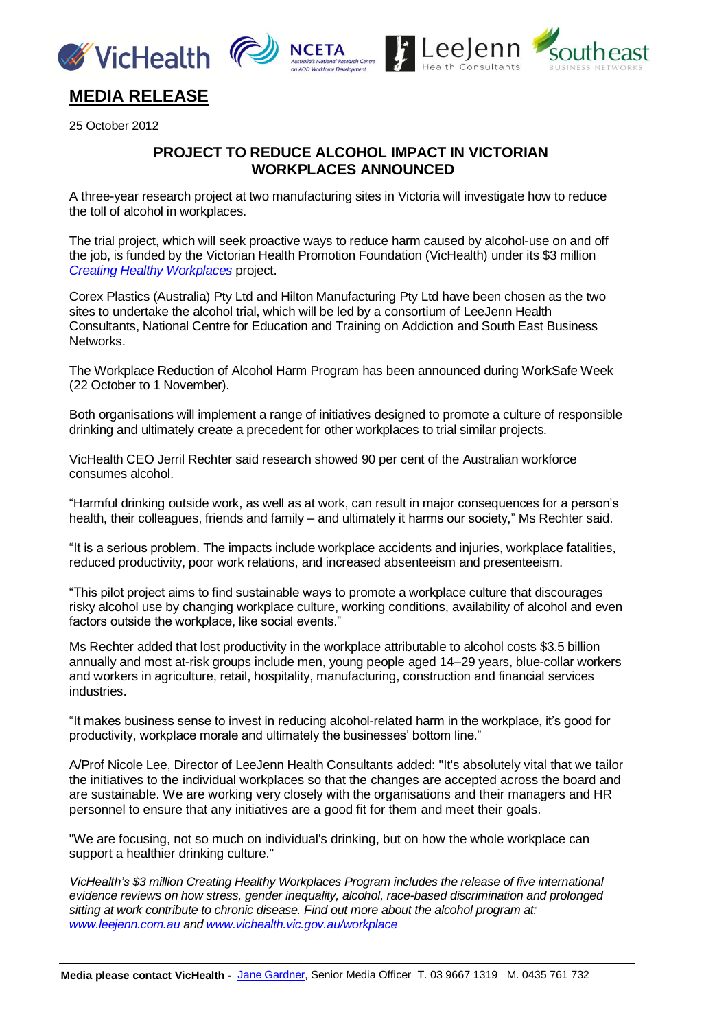





## **MEDIA RELEASE**

25 October 2012

## **PROJECT TO REDUCE ALCOHOL IMPACT IN VICTORIAN WORKPLACES ANNOUNCED**

A three-year research project at two manufacturing sites in Victoria will investigate how to reduce the toll of alcohol in workplaces.

The trial project, which will seek proactive ways to reduce harm caused by alcohol-use on and off the job, is funded by the Victorian Health Promotion Foundation (VicHealth) under its \$3 million *[Creating Healthy Workplaces](http://www.vichealth.vic.gov.au/Publications/Economic-participation/Creating_Healthy_Workplaces.aspx)* project.

Corex Plastics (Australia) Pty Ltd and Hilton Manufacturing Pty Ltd have been chosen as the two sites to undertake the alcohol trial, which will be led by a consortium of LeeJenn Health Consultants, National Centre for Education and Training on Addiction and South East Business Networks.

The Workplace Reduction of Alcohol Harm Program has been announced during WorkSafe Week (22 October to 1 November).

Both organisations will implement a range of initiatives designed to promote a culture of responsible drinking and ultimately create a precedent for other workplaces to trial similar projects.

VicHealth CEO Jerril Rechter said research showed 90 per cent of the Australian workforce consumes alcohol.

"Harmful drinking outside work, as well as at work, can result in major consequences for a person's health, their colleagues, friends and family – and ultimately it harms our society," Ms Rechter said.

"It is a serious problem. The impacts include workplace accidents and injuries, workplace fatalities, reduced productivity, poor work relations, and increased absenteeism and presenteeism.

"This pilot project aims to find sustainable ways to promote a workplace culture that discourages risky alcohol use by changing workplace culture, working conditions, availability of alcohol and even factors outside the workplace, like social events."

Ms Rechter added that lost productivity in the workplace attributable to alcohol costs \$3.5 billion annually and most at-risk groups include men, young people aged 14–29 years, blue-collar workers and workers in agriculture, retail, hospitality, manufacturing, construction and financial services industries.

"It makes business sense to invest in reducing alcohol-related harm in the workplace, it's good for productivity, workplace morale and ultimately the businesses' bottom line."

A/Prof Nicole Lee, Director of LeeJenn Health Consultants added: "It's absolutely vital that we tailor the initiatives to the individual workplaces so that the changes are accepted across the board and are sustainable. We are working very closely with the organisations and their managers and HR personnel to ensure that any initiatives are a good fit for them and meet their goals.

"We are focusing, not so much on individual's drinking, but on how the whole workplace can support a healthier drinking culture."

*VicHealth's \$3 million Creating Healthy Workplaces Program includes the release of five international evidence reviews on how stress, gender inequality, alcohol, race-based discrimination and prolonged sitting at work contribute to chronic disease. Find out more about the alcohol program at: [www.leejenn.com.au](http://www.leejenn.com.au/) and [www.vichealth.vic.gov.au/workplace](http://www.vichealth.vic.gov.au/workplace)*